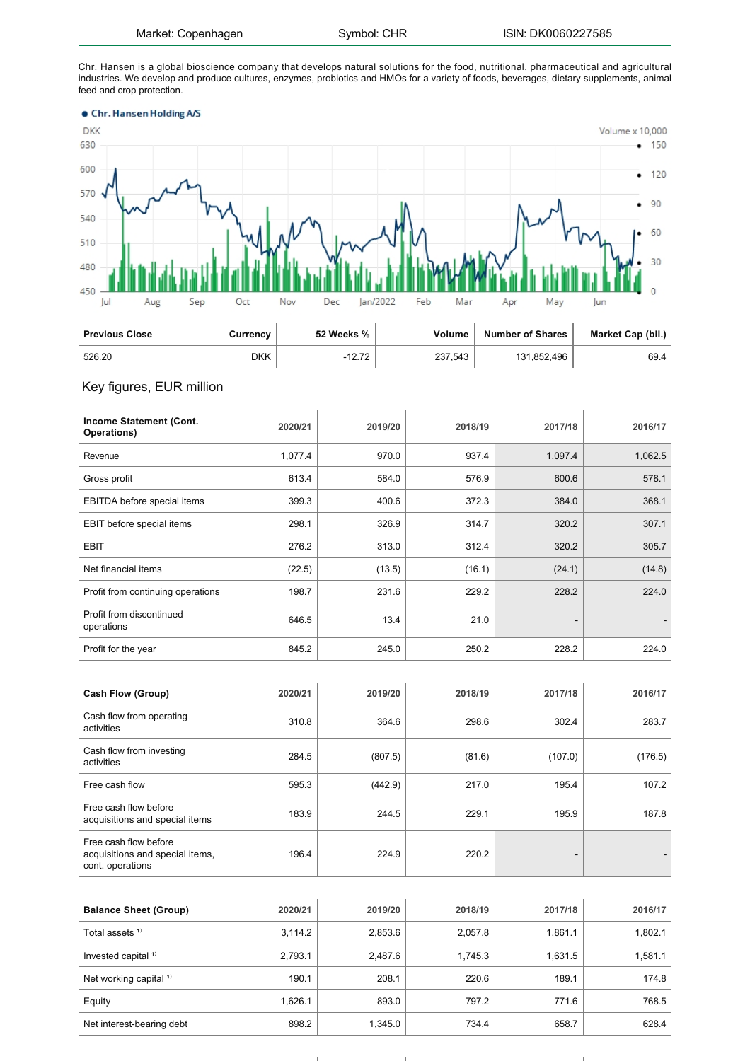Chr. Hansen is a global bioscience company that develops natural solutions for the food, nutritional, pharmaceutical and agricultural industries. We develop and produce cultures, enzymes, probiotics and HMOs for a variety of foods, beverages, dietary supplements, animal feed and crop protection.



| <b>Previous Close</b> | Currency | 52 Weeks % | Volume  | <b>Number of Shares</b> | Market Cap (bil.) |
|-----------------------|----------|------------|---------|-------------------------|-------------------|
| 526.20                | DKK      | 10.70      | 237.543 | 131.852.496             | 69.4              |

## Key figures, EUR million

| Income Statement (Cont.<br>Operations) | 2020/21 | 2019/20 | 2018/19 | 2017/18                      | 2016/17 |
|----------------------------------------|---------|---------|---------|------------------------------|---------|
| Revenue                                | 1,077.4 | 970.0   | 937.4   | 1,097.4                      | 1,062.5 |
| Gross profit                           | 613.4   | 584.0   | 576.9   | 600.6                        | 578.1   |
| EBITDA before special items            | 399.3   | 400.6   | 372.3   | 384.0                        | 368.1   |
| EBIT before special items              | 298.1   | 326.9   | 314.7   | 320.2                        | 307.1   |
| <b>EBIT</b>                            | 276.2   | 313.0   | 312.4   | 320.2                        | 305.7   |
| Net financial items                    | (22.5)  | (13.5)  | (16.1)  | (24.1)                       | (14.8)  |
| Profit from continuing operations      | 198.7   | 231.6   | 229.2   | 228.2                        | 224.0   |
| Profit from discontinued<br>operations | 646.5   | 13.4    | 21.0    | $\qquad \qquad \blacksquare$ |         |
| Profit for the year                    | 845.2   | 245.0   | 250.2   | 228.2                        | 224.0   |

| <b>Cash Flow (Group)</b>                                                     | 2020/21 | 2019/20 | 2018/19 | 2017/18 | 2016/17 |
|------------------------------------------------------------------------------|---------|---------|---------|---------|---------|
| Cash flow from operating<br>activities                                       | 310.8   | 364.6   | 298.6   | 302.4   | 283.7   |
| Cash flow from investing<br>activities                                       | 284.5   | (807.5) | (81.6)  | (107.0) | (176.5) |
| Free cash flow                                                               | 595.3   | (442.9) | 217.0   | 195.4   | 107.2   |
| Free cash flow before<br>acquisitions and special items                      | 183.9   | 244.5   | 229.1   | 195.9   | 187.8   |
| Free cash flow before<br>acquisitions and special items,<br>cont. operations | 196.4   | 224.9   | 220.2   | -       |         |

| <b>Balance Sheet (Group)</b>      | 2020/21 | 2019/20 | 2018/19 | 2017/18 | 2016/17 |
|-----------------------------------|---------|---------|---------|---------|---------|
| Total assets <sup>1)</sup>        | 3.114.2 | 2,853.6 | 2,057.8 | 1.861.1 | 1,802.1 |
| Invested capital <sup>1)</sup>    | 2,793.1 | 2,487.6 | 1.745.3 | 1,631.5 | 1,581.1 |
| Net working capital <sup>1)</sup> | 190.1   | 208.1   | 220.6   | 189.1   | 174.8   |
| Equity                            | 1,626.1 | 893.0   | 797.2   | 771.6   | 768.5   |
| Net interest-bearing debt         | 898.2   | 1.345.0 | 734.4   | 658.7   | 628.4   |

 $\mathbf{u}$ 

 $\mathbf{r}$ 

 $\mathbf{r}$